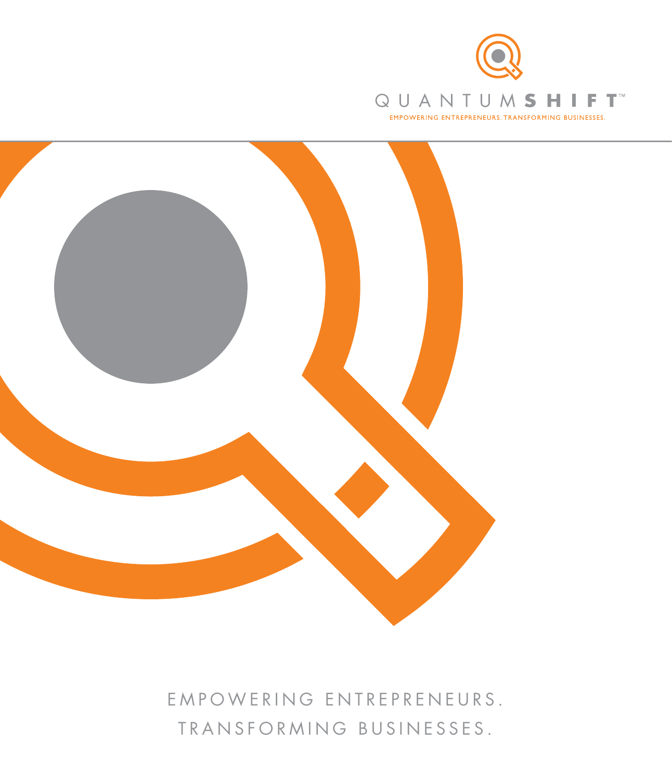



E M P O W E R I N G E N T R E P R E N E U R S . TRANSFORMING BUSINESSES.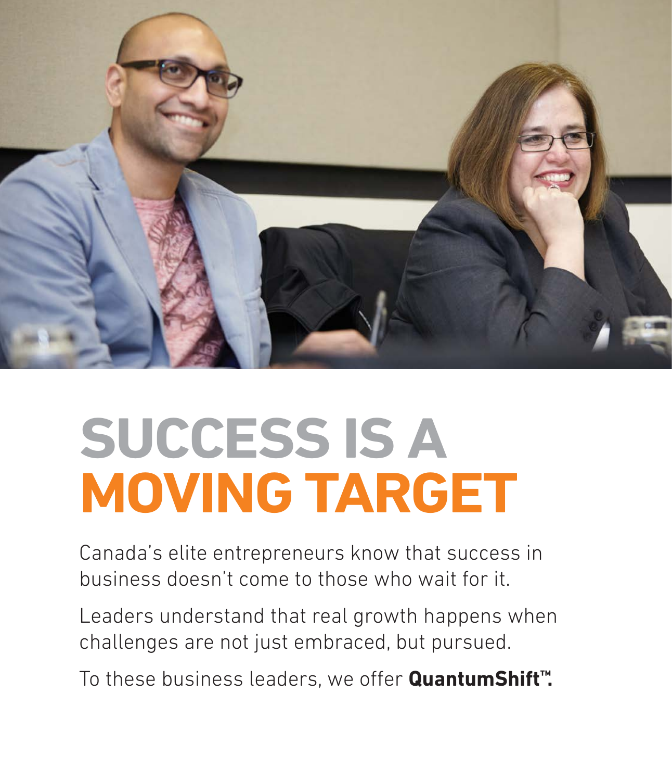

# **SUCCESS IS A MOVING TARGET**

Canada's elite entrepreneurs know that success in business doesn't come to those who wait for it.

Leaders understand that real growth happens when challenges are not just embraced, but pursued.

To these business leaders, we offer **QuantumShift™.**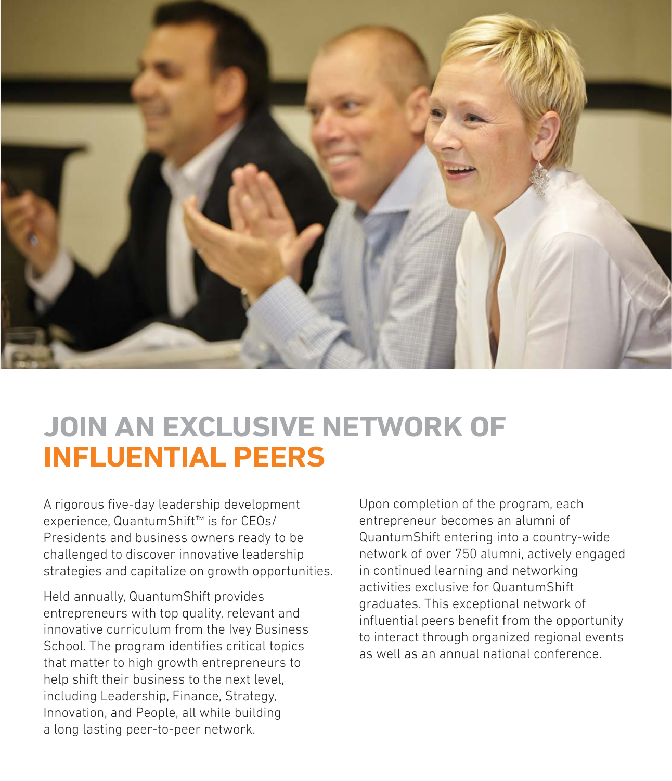

#### **JOIN AN EXCLUSIVE NETWORK OF INFLUENTIAL PEERS**

A rigorous five-day leadership development experience, QuantumShift™ is for CEOs/ Presidents and business owners ready to be challenged to discover innovative leadership strategies and capitalize on growth opportunities.

Held annually, QuantumShift provides entrepreneurs with top quality, relevant and innovative curriculum from the Ivey Business School. The program identifies critical topics that matter to high growth entrepreneurs to help shift their business to the next level, including Leadership, Finance, Strategy, Innovation, and People, all while building a long lasting peer-to-peer network.

Upon completion of the program, each entrepreneur becomes an alumni of QuantumShift entering into a country-wide network of over 750 alumni, actively engaged in continued learning and networking activities exclusive for QuantumShift graduates. This exceptional network of influential peers benefit from the opportunity to interact through organized regional events as well as an annual national conference.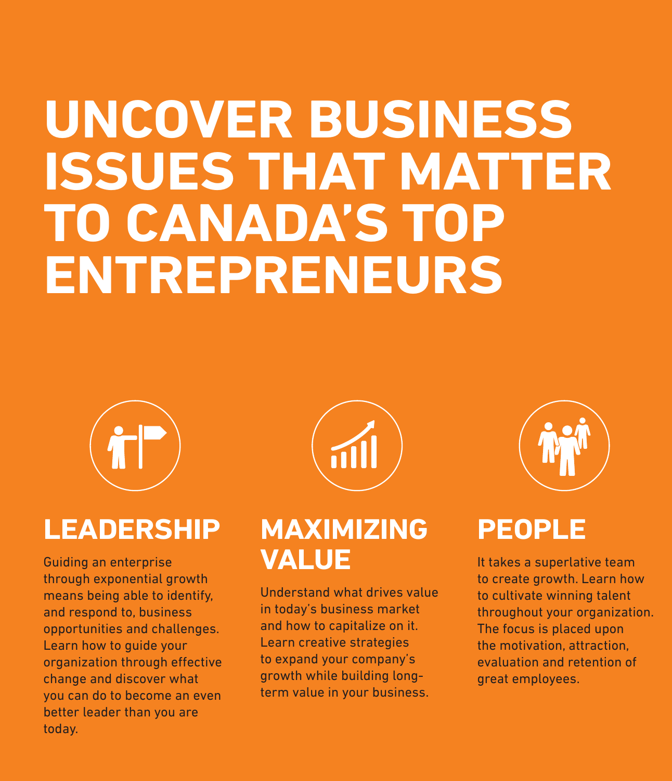## **UNCOVER BUSINESS ISSUES THAT MATTER TO CANADA'S TOP ENTREPRENEURS**



### **LEADERSHIP**

Guiding an enterprise through exponential growth means being able to identify, and respond to, business opportunities and challenges. Learn how to guide your organization through effective change and discover what you can do to become an even better leader than you are today.



#### **MAXIMIZING VALUE**

Understand what drives value in today's business market and how to capitalize on it. Learn creative strategies to expand your company's growth while building longterm value in your business.



### **PEOPLE**

It takes a superlative team to create growth. Learn how to cultivate winning talent throughout your organization. The focus is placed upon the motivation, attraction, evaluation and retention of great employees.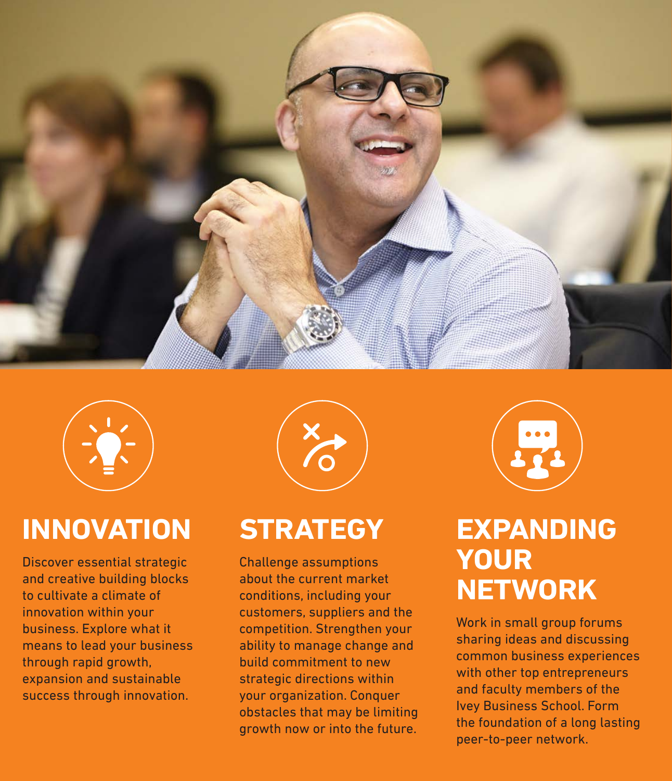



### **INNOVATION**

Discover essential strategic and creative building blocks to cultivate a climate of innovation within your business. Explore what it means to lead your business through rapid growth, expansion and sustainable success through innovation.



#### **STRATEGY**

Challenge assumptions about the current market conditions, including your customers, suppliers and the competition. Strengthen your ability to manage change and build commitment to new strategic directions within your organization. Conquer obstacles that may be limiting growth now or into the future.



#### **EXPANDING YOUR NETWORK**

Work in small group forums sharing ideas and discussing common business experiences with other top entrepreneurs and faculty members of the Ivey Business School. Form the foundation of a long lasting peer-to-peer network.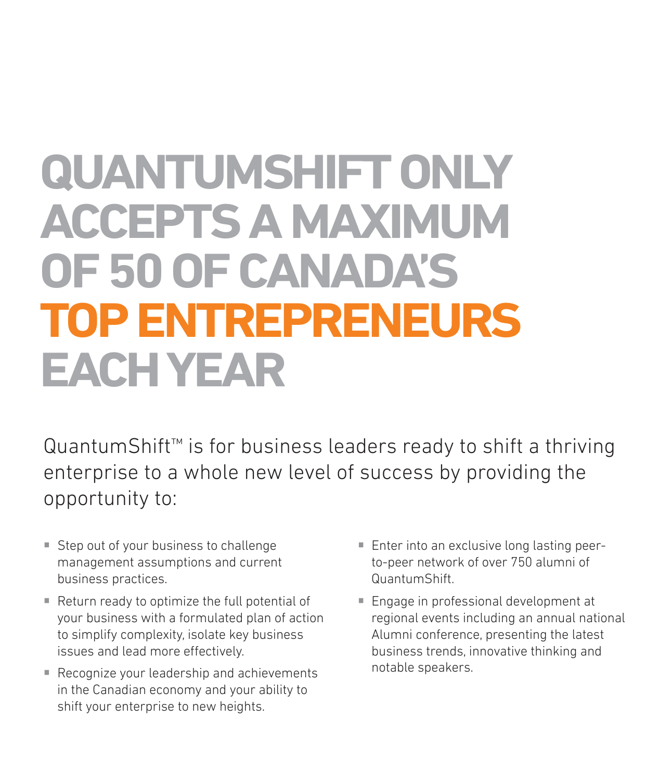## **QUANTUMSHIFT ONLY ACCEPTS A MAXIMUM OF 50 OF CANADA'S TOP ENTREPRENEURS EACH YEAR**

QuantumShift™ is for business leaders ready to shift a thriving enterprise to a whole new level of success by providing the opportunity to:

- **Step out of your business to challenge** management assumptions and current business practices.
- Return ready to optimize the full potential of your business with a formulated plan of action to simplify complexity, isolate key business issues and lead more effectively.
- Recognize your leadership and achievements in the Canadian economy and your ability to shift your enterprise to new heights.
- Enter into an exclusive long lasting peerto-peer network of over 750 alumni of QuantumShift.
- Engage in professional development at regional events including an annual national Alumni conference, presenting the latest business trends, innovative thinking and notable speakers.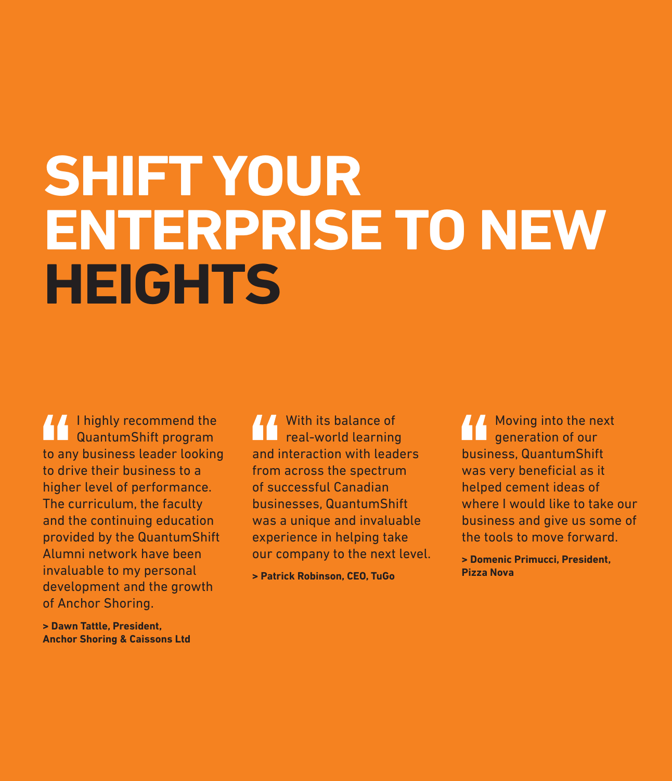# **SHIFT YOUR ENTERPRISE TO NEW HEIGHTS**

**I** highly recommend the QuantumShift program to any business leader looking to drive their business to a higher level of performance. The curriculum, the faculty and the continuing education provided by the QuantumShift Alumni network have been invaluable to my personal development and the growth of Anchor Shoring.

With its balance of real-world learning and interaction with leaders from across the spectrum of successful Canadian businesses, QuantumShift was a unique and invaluable experience in helping take our company to the next level.

**> Patrick Robinson, CEO, TuGo**

Moving into the next generation of our business, QuantumShift was very beneficial as it helped cement ideas of where I would like to take our business and give us some of the tools to move forward.

**> Domenic Primucci, President, Pizza Nova**

**> Dawn Tattle, President, Anchor Shoring & Caissons Ltd**